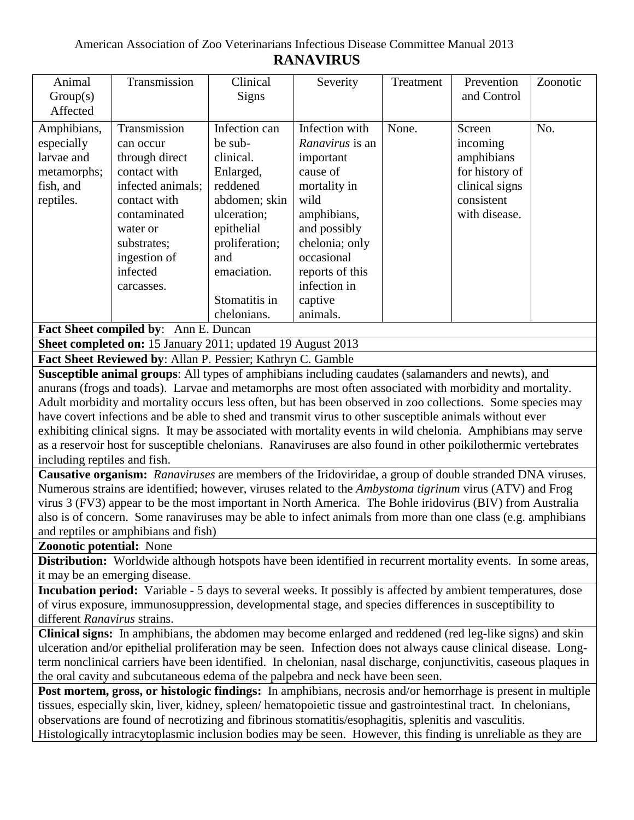| Animal<br>Group(s)<br>Affected                                                                                                                                                                                               | Transmission                                                                                                                                                                          | Clinical<br><b>Signs</b>                                                                                                                                              | Severity                                                                                                                                                                                               | Treatment | Prevention<br>and Control                                                                           | Zoonotic |
|------------------------------------------------------------------------------------------------------------------------------------------------------------------------------------------------------------------------------|---------------------------------------------------------------------------------------------------------------------------------------------------------------------------------------|-----------------------------------------------------------------------------------------------------------------------------------------------------------------------|--------------------------------------------------------------------------------------------------------------------------------------------------------------------------------------------------------|-----------|-----------------------------------------------------------------------------------------------------|----------|
| Amphibians,<br>especially<br>larvae and<br>metamorphs;<br>fish, and<br>reptiles.                                                                                                                                             | Transmission<br>can occur<br>through direct<br>contact with<br>infected animals;<br>contact with<br>contaminated<br>water or<br>substrates;<br>ingestion of<br>infected<br>carcasses. | Infection can<br>be sub-<br>clinical.<br>Enlarged,<br>reddened<br>abdomen; skin<br>ulceration;<br>epithelial<br>proliferation;<br>and<br>emaciation.<br>Stomatitis in | Infection with<br><i>Ranavirus</i> is an<br>important<br>cause of<br>mortality in<br>wild<br>amphibians,<br>and possibly<br>chelonia; only<br>occasional<br>reports of this<br>infection in<br>captive | None.     | Screen<br>incoming<br>amphibians<br>for history of<br>clinical signs<br>consistent<br>with disease. | No.      |
|                                                                                                                                                                                                                              |                                                                                                                                                                                       | chelonians.                                                                                                                                                           | animals.                                                                                                                                                                                               |           |                                                                                                     |          |
| Fact Sheet compiled by: Ann E. Duncan                                                                                                                                                                                        |                                                                                                                                                                                       |                                                                                                                                                                       |                                                                                                                                                                                                        |           |                                                                                                     |          |
| Sheet completed on: 15 January 2011; updated 19 August 2013                                                                                                                                                                  |                                                                                                                                                                                       |                                                                                                                                                                       |                                                                                                                                                                                                        |           |                                                                                                     |          |
| Fact Sheet Reviewed by: Allan P. Pessier; Kathryn C. Gamble                                                                                                                                                                  |                                                                                                                                                                                       |                                                                                                                                                                       |                                                                                                                                                                                                        |           |                                                                                                     |          |
| Susceptible animal groups: All types of amphibians including caudates (salamanders and newts), and                                                                                                                           |                                                                                                                                                                                       |                                                                                                                                                                       |                                                                                                                                                                                                        |           |                                                                                                     |          |
| anurans (frogs and toads). Larvae and metamorphs are most often associated with morbidity and mortality.                                                                                                                     |                                                                                                                                                                                       |                                                                                                                                                                       |                                                                                                                                                                                                        |           |                                                                                                     |          |
| Adult morbidity and mortality occurs less often, but has been observed in zoo collections. Some species may<br>have covert infections and be able to shed and transmit virus to other susceptible animals without ever       |                                                                                                                                                                                       |                                                                                                                                                                       |                                                                                                                                                                                                        |           |                                                                                                     |          |
| exhibiting clinical signs. It may be associated with mortality events in wild chelonia. Amphibians may serve                                                                                                                 |                                                                                                                                                                                       |                                                                                                                                                                       |                                                                                                                                                                                                        |           |                                                                                                     |          |
| as a reservoir host for susceptible chelonians. Ranaviruses are also found in other poikilothermic vertebrates                                                                                                               |                                                                                                                                                                                       |                                                                                                                                                                       |                                                                                                                                                                                                        |           |                                                                                                     |          |
| including reptiles and fish.                                                                                                                                                                                                 |                                                                                                                                                                                       |                                                                                                                                                                       |                                                                                                                                                                                                        |           |                                                                                                     |          |
| Causative organism: Ranaviruses are members of the Iridoviridae, a group of double stranded DNA viruses.                                                                                                                     |                                                                                                                                                                                       |                                                                                                                                                                       |                                                                                                                                                                                                        |           |                                                                                                     |          |
| Numerous strains are identified; however, viruses related to the Ambystoma tigrinum virus (ATV) and Frog                                                                                                                     |                                                                                                                                                                                       |                                                                                                                                                                       |                                                                                                                                                                                                        |           |                                                                                                     |          |
| virus 3 (FV3) appear to be the most important in North America. The Bohle iridovirus (BIV) from Australia                                                                                                                    |                                                                                                                                                                                       |                                                                                                                                                                       |                                                                                                                                                                                                        |           |                                                                                                     |          |
| also is of concern. Some ranaviruses may be able to infect animals from more than one class (e.g. amphibians                                                                                                                 |                                                                                                                                                                                       |                                                                                                                                                                       |                                                                                                                                                                                                        |           |                                                                                                     |          |
| and reptiles or amphibians and fish)                                                                                                                                                                                         |                                                                                                                                                                                       |                                                                                                                                                                       |                                                                                                                                                                                                        |           |                                                                                                     |          |
| <b>Zoonotic potential:</b> None                                                                                                                                                                                              |                                                                                                                                                                                       |                                                                                                                                                                       |                                                                                                                                                                                                        |           |                                                                                                     |          |
| Distribution: Worldwide although hotspots have been identified in recurrent mortality events. In some areas,                                                                                                                 |                                                                                                                                                                                       |                                                                                                                                                                       |                                                                                                                                                                                                        |           |                                                                                                     |          |
| it may be an emerging disease.                                                                                                                                                                                               |                                                                                                                                                                                       |                                                                                                                                                                       |                                                                                                                                                                                                        |           |                                                                                                     |          |
| Incubation period: Variable - 5 days to several weeks. It possibly is affected by ambient temperatures, dose                                                                                                                 |                                                                                                                                                                                       |                                                                                                                                                                       |                                                                                                                                                                                                        |           |                                                                                                     |          |
| of virus exposure, immunosuppression, developmental stage, and species differences in susceptibility to                                                                                                                      |                                                                                                                                                                                       |                                                                                                                                                                       |                                                                                                                                                                                                        |           |                                                                                                     |          |
| different Ranavirus strains.                                                                                                                                                                                                 |                                                                                                                                                                                       |                                                                                                                                                                       |                                                                                                                                                                                                        |           |                                                                                                     |          |
| Clinical signs: In amphibians, the abdomen may become enlarged and reddened (red leg-like signs) and skin<br>ulceration and/or epithelial proliferation may be seen. Infection does not always cause clinical disease. Long- |                                                                                                                                                                                       |                                                                                                                                                                       |                                                                                                                                                                                                        |           |                                                                                                     |          |
| term nonclinical carriers have been identified. In chelonian, nasal discharge, conjunctivitis, caseous plaques in                                                                                                            |                                                                                                                                                                                       |                                                                                                                                                                       |                                                                                                                                                                                                        |           |                                                                                                     |          |
| the oral cavity and subcutaneous edema of the palpebra and neck have been seen.                                                                                                                                              |                                                                                                                                                                                       |                                                                                                                                                                       |                                                                                                                                                                                                        |           |                                                                                                     |          |
| Post mortem, gross, or histologic findings: In amphibians, necrosis and/or hemorrhage is present in multiple                                                                                                                 |                                                                                                                                                                                       |                                                                                                                                                                       |                                                                                                                                                                                                        |           |                                                                                                     |          |
| tissues, especially skin, liver, kidney, spleen/hematopoietic tissue and gastrointestinal tract. In chelonians,                                                                                                              |                                                                                                                                                                                       |                                                                                                                                                                       |                                                                                                                                                                                                        |           |                                                                                                     |          |

observations are found of necrotizing and fibrinous stomatitis/esophagitis, splenitis and vasculitis. Histologically intracytoplasmic inclusion bodies may be seen. However, this finding is unreliable as they are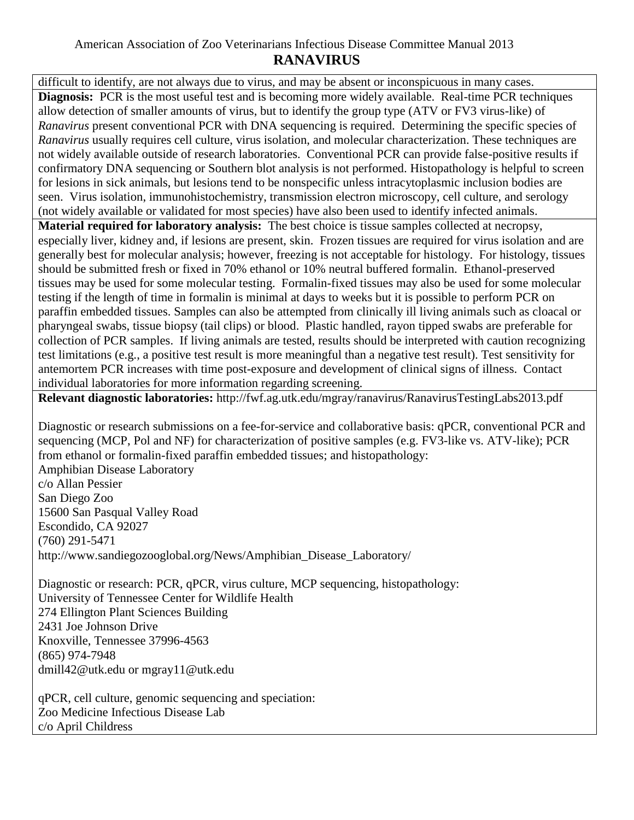## American Association of Zoo Veterinarians Infectious Disease Committee Manual 2013 **RANAVIRUS**

difficult to identify, are not always due to virus, and may be absent or inconspicuous in many cases. **Diagnosis:** PCR is the most useful test and is becoming more widely available. Real-time PCR techniques allow detection of smaller amounts of virus, but to identify the group type (ATV or FV3 virus-like) of *Ranavirus* present conventional PCR with DNA sequencing is required. Determining the specific species of *Ranavirus* usually requires cell culture, virus isolation, and molecular characterization. These techniques are not widely available outside of research laboratories. Conventional PCR can provide false-positive results if confirmatory DNA sequencing or Southern blot analysis is not performed. Histopathology is helpful to screen for lesions in sick animals, but lesions tend to be nonspecific unless intracytoplasmic inclusion bodies are seen. Virus isolation, immunohistochemistry, transmission electron microscopy, cell culture, and serology (not widely available or validated for most species) have also been used to identify infected animals.

**Material required for laboratory analysis:** The best choice is tissue samples collected at necropsy, especially liver, kidney and, if lesions are present, skin. Frozen tissues are required for virus isolation and are generally best for molecular analysis; however, freezing is not acceptable for histology. For histology, tissues should be submitted fresh or fixed in 70% ethanol or 10% neutral buffered formalin. Ethanol-preserved tissues may be used for some molecular testing. Formalin-fixed tissues may also be used for some molecular testing if the length of time in formalin is minimal at days to weeks but it is possible to perform PCR on paraffin embedded tissues. Samples can also be attempted from clinically ill living animals such as cloacal or pharyngeal swabs, tissue biopsy (tail clips) or blood. Plastic handled, rayon tipped swabs are preferable for collection of PCR samples. If living animals are tested, results should be interpreted with caution recognizing test limitations (e.g., a positive test result is more meaningful than a negative test result). Test sensitivity for antemortem PCR increases with time post-exposure and development of clinical signs of illness. Contact individual laboratories for more information regarding screening.

**Relevant diagnostic laboratories:** <http://fwf.ag.utk.edu/mgray/ranavirus/RanavirusTestingLabs2013.pdf>

Diagnostic or research submissions on a fee-for-service and collaborative basis: qPCR, conventional PCR and sequencing (MCP, Pol and NF) for characterization of positive samples (e.g. FV3-like vs. ATV-like); PCR from ethanol or formalin-fixed paraffin embedded tissues; and histopathology: Amphibian Disease Laboratory c/o Allan Pessier San Diego Zoo 15600 San Pasqual Valley Road Escondido, CA 92027 (760) 291-5471 http://www.sandiegozooglobal.org/News/Amphibian\_Disease\_Laboratory/

Diagnostic or research: PCR, qPCR, virus culture, MCP sequencing, histopathology: University of Tennessee Center for Wildlife Health 274 Ellington Plant Sciences Building 2431 Joe Johnson Drive Knoxville, Tennessee 37996-4563 (865) 974-7948 dmill42@utk.edu or mgray11@utk.edu

qPCR, cell culture, genomic sequencing and speciation: Zoo Medicine Infectious Disease Lab c/o April Childress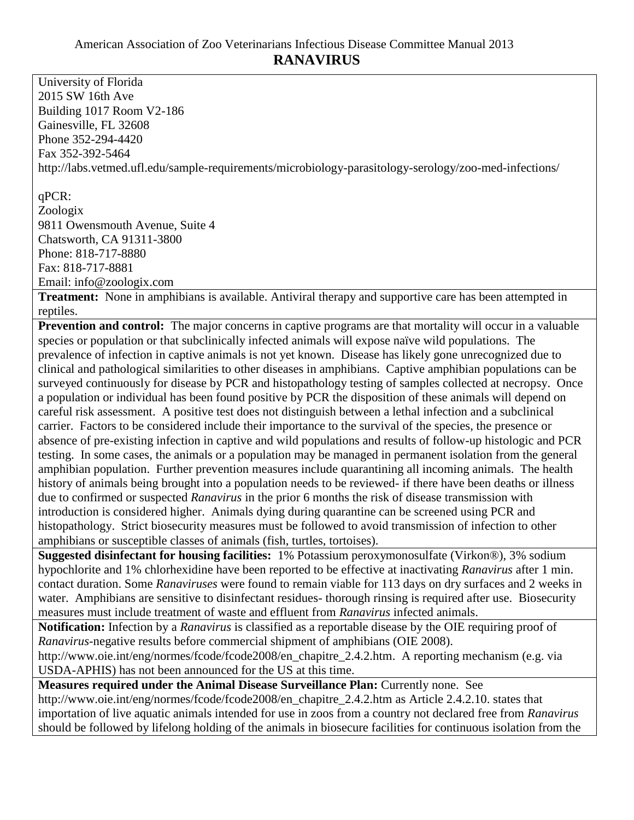University of Florida 2015 SW 16th Ave Building 1017 Room V2-186 Gainesville, FL 32608 Phone 352-294-4420 Fax 352-392-5464 http://labs.vetmed.ufl.edu/sample-requirements/microbiology-parasitology-serology/zoo-med-infections/

## qPCR:

Zoologix 9811 Owensmouth Avenue, Suite 4 Chatsworth, CA 91311-3800 Phone: 818-717-8880 Fax: 818-717-8881 Email: info@zoologix.com

**Treatment:** None in amphibians is available. Antiviral therapy and supportive care has been attempted in reptiles.

**Prevention and control:** The major concerns in captive programs are that mortality will occur in a valuable species or population or that subclinically infected animals will expose naïve wild populations. The prevalence of infection in captive animals is not yet known. Disease has likely gone unrecognized due to clinical and pathological similarities to other diseases in amphibians. Captive amphibian populations can be surveyed continuously for disease by PCR and histopathology testing of samples collected at necropsy. Once a population or individual has been found positive by PCR the disposition of these animals will depend on careful risk assessment. A positive test does not distinguish between a lethal infection and a subclinical carrier. Factors to be considered include their importance to the survival of the species, the presence or absence of pre-existing infection in captive and wild populations and results of follow-up histologic and PCR testing. In some cases, the animals or a population may be managed in permanent isolation from the general amphibian population. Further prevention measures include quarantining all incoming animals. The health history of animals being brought into a population needs to be reviewed- if there have been deaths or illness due to confirmed or suspected *Ranavirus* in the prior 6 months the risk of disease transmission with introduction is considered higher. Animals dying during quarantine can be screened using PCR and histopathology. Strict biosecurity measures must be followed to avoid transmission of infection to other amphibians or susceptible classes of animals (fish, turtles, tortoises).

**Suggested disinfectant for housing facilities:** 1% Potassium peroxymonosulfate (Virkon®), 3% sodium hypochlorite and 1% chlorhexidine have been reported to be effective at inactivating *Ranavirus* after 1 min. contact duration. Some *Ranaviruses* were found to remain viable for 113 days on dry surfaces and 2 weeks in water. Amphibians are sensitive to disinfectant residues-thorough rinsing is required after use. Biosecurity measures must include treatment of waste and effluent from *Ranavirus* infected animals.

**Notification:** Infection by a *Ranavirus* is classified as a reportable disease by the OIE requiring proof of *Ranavirus-*negative results before commercial shipment of amphibians (OIE 2008).

[http://www.oie.int/eng/normes/fcode/fcode2008/en\\_chapitre\\_2.4.2.htm.](http://www.oie.int/eng/normes/fcode/fcode2008/en_chapitre_2.4.2.htm) A reporting mechanism (e.g. via USDA-APHIS) has not been announced for the US at this time.

**Measures required under the Animal Disease Surveillance Plan:** Currently none. See

[http://www.oie.int/eng/normes/fcode/fcode2008/en\\_chapitre\\_2.4.2.htm](http://www.oie.int/eng/normes/fcode/fcode2008/en_chapitre_2.4.2.htm) as Article 2.4.2.10. states that importation of live aquatic animals intended for use in zoos from a country not declared free from *Ranavirus* should be followed by lifelong holding of the animals in biosecure facilities for continuous isolation from the